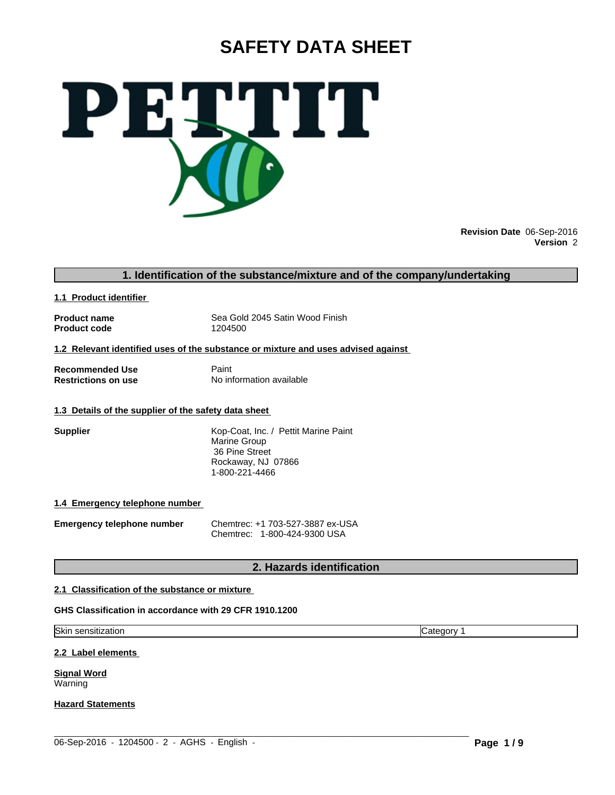# **SAFETY DATA SHEET**



**Revision Date** 06-Sep-2016 **Version** 2

# **1. Identification of the substance/mixture and of the company/undertaking**

**1.1 Product identifier** 

**Product code** 

**Product name** Sea Gold 2045 Satin Wood Finish<br> **Product code** 1204500

**1.2 Relevant identified uses of the substance or mixture and uses advised against** 

**Recommended Use 6 Beam Paint Paint Restrictions on use 19 Beam Paint Paint Paint** 

**No information available** 

# **1.3 Details of the supplier of the safety data sheet**

**Supplier Supplier** Kop-Coat, Inc. / Pettit Marine Paint Marine Group 36 Pine Street Rockaway, NJ 07866 1-800-221-4466

# **1.4 Emergency telephone number**

**Emergency telephone number** Chemtrec: +1 703-527-3887 ex-USA Chemtrec: 1-800-424-9300 USA

# **2. Hazards identification**

# **2.1 Classification of the substance or mixture**

# **GHS Classification in accordance with 29 CFR 1910.1200**

Skin sensitization **Category 1** and Category 1

**2.2 Label elements** 

**Signal Word** Warning

**Hazard Statements**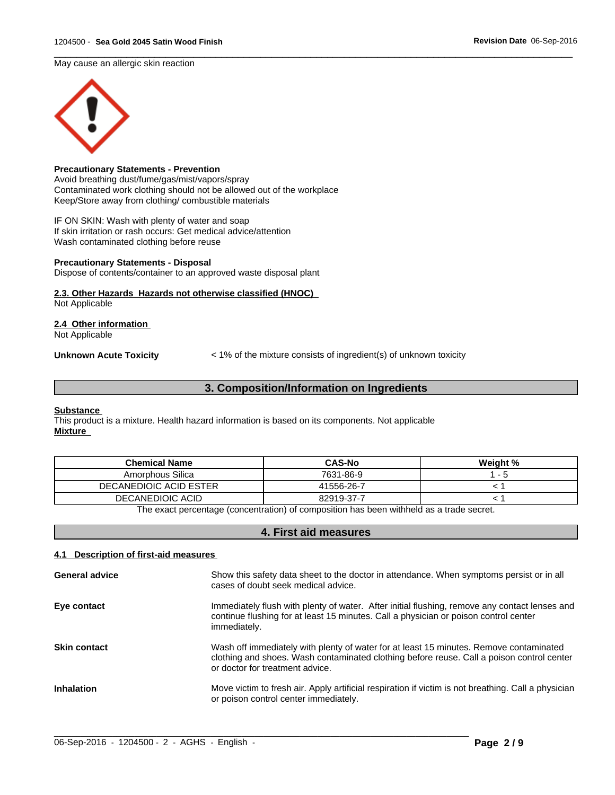May cause an allergic skin reaction



# **Precautionary Statements - Prevention**

Avoid breathing dust/fume/gas/mist/vapors/spray Contaminated work clothing should not be allowed out of the workplace Keep/Store away from clothing/ combustible materials

IF ON SKIN: Wash with plenty of water and soap If skin irritation or rash occurs: Get medical advice/attention Wash contaminated clothing before reuse

#### **Precautionary Statements - Disposal**

Dispose of contents/container to an approved waste disposal plant

# **2.3. Other Hazards Hazards not otherwise classified (HNOC)**

Not Applicable

# **2.4 Other information**

Not Applicable

**Unknown Acute Toxicity**  $\lt$  1% of the mixture consists of ingredient(s) of unknown toxicity

 $\overline{\phantom{a}}$  ,  $\overline{\phantom{a}}$  ,  $\overline{\phantom{a}}$  ,  $\overline{\phantom{a}}$  ,  $\overline{\phantom{a}}$  ,  $\overline{\phantom{a}}$  ,  $\overline{\phantom{a}}$  ,  $\overline{\phantom{a}}$  ,  $\overline{\phantom{a}}$  ,  $\overline{\phantom{a}}$  ,  $\overline{\phantom{a}}$  ,  $\overline{\phantom{a}}$  ,  $\overline{\phantom{a}}$  ,  $\overline{\phantom{a}}$  ,  $\overline{\phantom{a}}$  ,  $\overline{\phantom{a}}$ 

# **3. Composition/Information on Ingredients**

#### **Substance**

This product is a mixture. Health hazard information is based on its components. Not applicable **Mixture** 

| <b>Chemical Name</b>          | <b>CAS-No</b> | Weight % |
|-------------------------------|---------------|----------|
| Amorphous Silica              | 7631-86-9     | $ -$     |
| <b>DECANEDIOIC ACID ESTER</b> | 41556-26-7    |          |
| DECANEDIOIC ACID              | 82919-37-7    |          |

The exact percentage (concentration) of composition has been withheld as a trade secret.

# **4. First aid measures**

# **4.1 Description of first-aid measures**

| <b>General advice</b> | Show this safety data sheet to the doctor in attendance. When symptoms persist or in all<br>cases of doubt seek medical advice.                                                                                        |
|-----------------------|------------------------------------------------------------------------------------------------------------------------------------------------------------------------------------------------------------------------|
| Eye contact           | Immediately flush with plenty of water. After initial flushing, remove any contact lenses and<br>continue flushing for at least 15 minutes. Call a physician or poison control center<br>immediately.                  |
| <b>Skin contact</b>   | Wash off immediately with plenty of water for at least 15 minutes. Remove contaminated<br>clothing and shoes. Wash contaminated clothing before reuse. Call a poison control center<br>or doctor for treatment advice. |
| <b>Inhalation</b>     | Move victim to fresh air. Apply artificial respiration if victim is not breathing. Call a physician<br>or poison control center immediately.                                                                           |

 $\_$  ,  $\_$  ,  $\_$  ,  $\_$  ,  $\_$  ,  $\_$  ,  $\_$  ,  $\_$  ,  $\_$  ,  $\_$  ,  $\_$  ,  $\_$  ,  $\_$  ,  $\_$  ,  $\_$  ,  $\_$  ,  $\_$  ,  $\_$  ,  $\_$  ,  $\_$  ,  $\_$  ,  $\_$  ,  $\_$  ,  $\_$  ,  $\_$  ,  $\_$  ,  $\_$  ,  $\_$  ,  $\_$  ,  $\_$  ,  $\_$  ,  $\_$  ,  $\_$  ,  $\_$  ,  $\_$  ,  $\_$  ,  $\_$  ,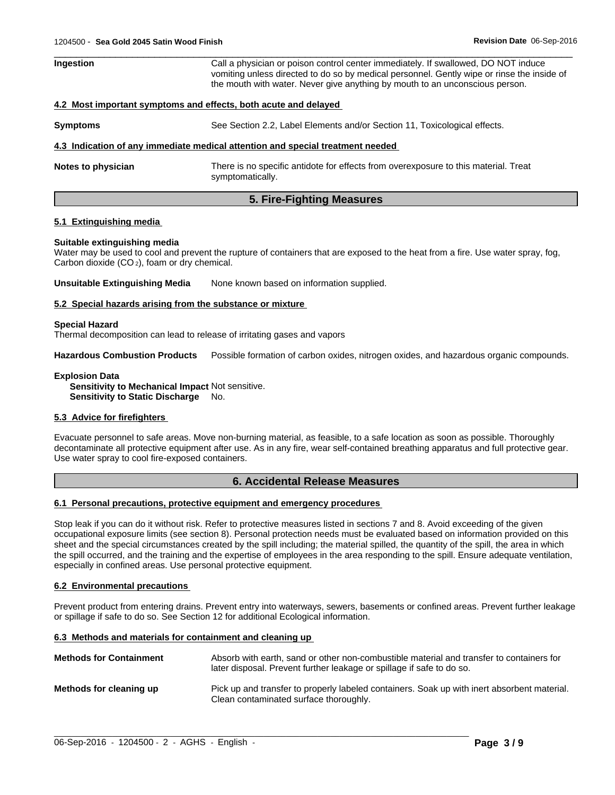| Ingestion          | Call a physician or poison control center immediately. If swallowed, DO NOT induce<br>vomiting unless directed to do so by medical personnel. Gently wipe or rinse the inside of<br>the mouth with water. Never give anything by mouth to an unconscious person. |  |
|--------------------|------------------------------------------------------------------------------------------------------------------------------------------------------------------------------------------------------------------------------------------------------------------|--|
|                    | 4.2 Most important symptoms and effects, both acute and delayed                                                                                                                                                                                                  |  |
| <b>Symptoms</b>    | See Section 2.2, Label Elements and/or Section 11, Toxicological effects.                                                                                                                                                                                        |  |
|                    | 4.3 Indication of any immediate medical attention and special treatment needed                                                                                                                                                                                   |  |
| Notes to physician | There is no specific antidote for effects from overexposure to this material. Treat<br>symptomatically.                                                                                                                                                          |  |

**5. Fire-Fighting Measures**

## **5.1 Extinguishing media**

# **Suitable extinguishing media**

Water may be used to cool and prevent the rupture of containers that are exposed to the heat from a fire. Use water spray, fog, Carbon dioxide (CO 2), foam or dry chemical.

**Unsuitable Extinguishing Media** None known based on information supplied.

#### **5.2 Special hazards arising from the substance or mixture**

#### **Special Hazard**

Thermal decomposition can lead to release of irritating gases and vapors

**Hazardous Combustion Products** Possible formation of carbon oxides, nitrogen oxides, and hazardous organic compounds.

# **Explosion Data**

**Sensitivity to Mechanical Impact** Not sensitive. **Sensitivity to Static Discharge No.** 

# **5.3 Advice for firefighters**

Evacuate personnel to safe areas. Move non-burning material, as feasible, to a safe location as soon as possible. Thoroughly decontaminate all protective equipment after use. As in any fire, wear self-contained breathing apparatus and full protective gear. Use water spray to cool fire-exposed containers.

# **6. Accidental Release Measures**

#### **6.1 Personal precautions, protective equipment and emergency procedures**

Stop leak if you can do it without risk. Refer to protective measures listed in sections 7 and 8. Avoid exceeding of the given occupational exposure limits (see section 8). Personal protection needs must be evaluated based on information provided on this sheet and the special circumstances created by the spill including; the material spilled, the quantity of the spill, the area in which the spill occurred, and the training and the expertise of employees in the area responding to the spill. Ensure adequate ventilation, especially in confined areas. Use personal protective equipment.

#### **6.2 Environmental precautions**

Prevent product from entering drains. Prevent entry into waterways, sewers, basements or confined areas. Prevent further leakage or spillage if safe to do so. See Section 12 for additional Ecological information.

#### **6.3 Methods and materials for containment and cleaning up**

| <b>Methods for Containment</b> | Absorb with earth, sand or other non-combustible material and transfer to containers for<br>later disposal. Prevent further leakage or spillage if safe to do so. |
|--------------------------------|-------------------------------------------------------------------------------------------------------------------------------------------------------------------|
| Methods for cleaning up        | Pick up and transfer to properly labeled containers. Soak up with inert absorbent material.<br>Clean contaminated surface thoroughly.                             |

 $\_$  ,  $\_$  ,  $\_$  ,  $\_$  ,  $\_$  ,  $\_$  ,  $\_$  ,  $\_$  ,  $\_$  ,  $\_$  ,  $\_$  ,  $\_$  ,  $\_$  ,  $\_$  ,  $\_$  ,  $\_$  ,  $\_$  ,  $\_$  ,  $\_$  ,  $\_$  ,  $\_$  ,  $\_$  ,  $\_$  ,  $\_$  ,  $\_$  ,  $\_$  ,  $\_$  ,  $\_$  ,  $\_$  ,  $\_$  ,  $\_$  ,  $\_$  ,  $\_$  ,  $\_$  ,  $\_$  ,  $\_$  ,  $\_$  ,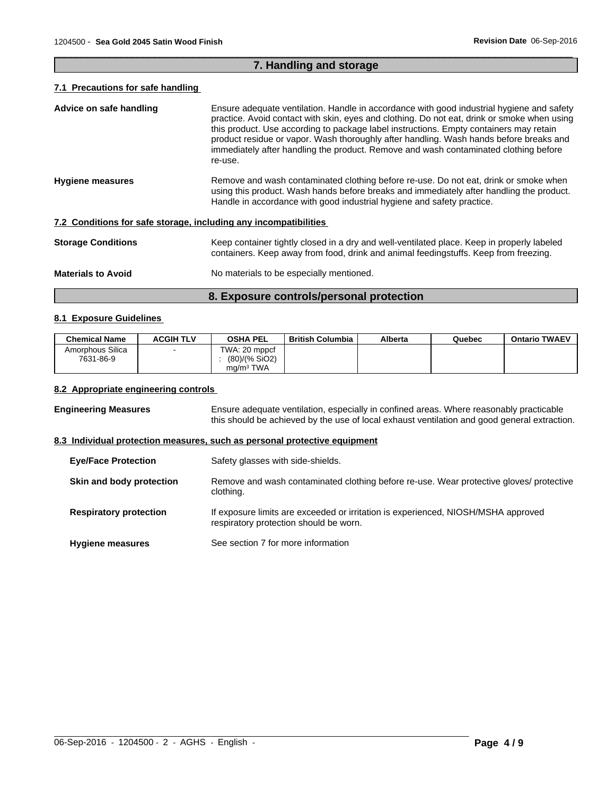# **7. Handling and storage**

 $\overline{\phantom{a}}$  ,  $\overline{\phantom{a}}$  ,  $\overline{\phantom{a}}$  ,  $\overline{\phantom{a}}$  ,  $\overline{\phantom{a}}$  ,  $\overline{\phantom{a}}$  ,  $\overline{\phantom{a}}$  ,  $\overline{\phantom{a}}$  ,  $\overline{\phantom{a}}$  ,  $\overline{\phantom{a}}$  ,  $\overline{\phantom{a}}$  ,  $\overline{\phantom{a}}$  ,  $\overline{\phantom{a}}$  ,  $\overline{\phantom{a}}$  ,  $\overline{\phantom{a}}$  ,  $\overline{\phantom{a}}$ 

# **7.1 Precautions for safe handling**

| Advice on safe handling                                          | Ensure adequate ventilation. Handle in accordance with good industrial hygiene and safety<br>practice. Avoid contact with skin, eyes and clothing. Do not eat, drink or smoke when using<br>this product. Use according to package label instructions. Empty containers may retain<br>product residue or vapor. Wash thoroughly after handling. Wash hands before breaks and<br>immediately after handling the product. Remove and wash contaminated clothing before<br>re-use. |
|------------------------------------------------------------------|---------------------------------------------------------------------------------------------------------------------------------------------------------------------------------------------------------------------------------------------------------------------------------------------------------------------------------------------------------------------------------------------------------------------------------------------------------------------------------|
| <b>Hygiene measures</b>                                          | Remove and wash contaminated clothing before re-use. Do not eat, drink or smoke when<br>using this product. Wash hands before breaks and immediately after handling the product.<br>Handle in accordance with good industrial hygiene and safety practice.                                                                                                                                                                                                                      |
| 7.2 Conditions for safe storage, including any incompatibilities |                                                                                                                                                                                                                                                                                                                                                                                                                                                                                 |
| <b>Storage Conditions</b>                                        | Keep container tightly closed in a dry and well-ventilated place. Keep in properly labeled<br>containers. Keep away from food, drink and animal feedingstuffs. Keep from freezing.                                                                                                                                                                                                                                                                                              |
| <b>Materials to Avoid</b>                                        | No materials to be especially mentioned.                                                                                                                                                                                                                                                                                                                                                                                                                                        |

# **8. Exposure controls/personal protection**

# **8.1 Exposure Guidelines**

| <b>Chemical Name</b>          | <b>ACGIH TLV</b> | <b>OSHA PEL</b>                                         | <b>British Columbia</b> | Alberta | Quebec | <b>Ontario TWAEV</b> |
|-------------------------------|------------------|---------------------------------------------------------|-------------------------|---------|--------|----------------------|
| Amorphous Silica<br>7631-86-9 |                  | TWA: 20 mppcf<br>(80)/(% SiO2)<br>ma/m <sup>3</sup> TWA |                         |         |        |                      |

## **8.2 Appropriate engineering controls**

**Engineering Measures** Ensure adequate ventilation, especially in confined areas. Where reasonably practicable this should be achieved by the use of local exhaust ventilation and good general extraction.

# **8.3 Individual protection measures, such as personal protective equipment**

| <b>Eye/Face Protection</b>    | Safety glasses with side-shields.                                                                                           |
|-------------------------------|-----------------------------------------------------------------------------------------------------------------------------|
| Skin and body protection      | Remove and wash contaminated clothing before re-use. Wear protective gloves/ protective<br>clothing.                        |
| <b>Respiratory protection</b> | If exposure limits are exceeded or irritation is experienced, NIOSH/MSHA approved<br>respiratory protection should be worn. |
| <b>Hygiene measures</b>       | See section 7 for more information                                                                                          |

 $\_$  ,  $\_$  ,  $\_$  ,  $\_$  ,  $\_$  ,  $\_$  ,  $\_$  ,  $\_$  ,  $\_$  ,  $\_$  ,  $\_$  ,  $\_$  ,  $\_$  ,  $\_$  ,  $\_$  ,  $\_$  ,  $\_$  ,  $\_$  ,  $\_$  ,  $\_$  ,  $\_$  ,  $\_$  ,  $\_$  ,  $\_$  ,  $\_$  ,  $\_$  ,  $\_$  ,  $\_$  ,  $\_$  ,  $\_$  ,  $\_$  ,  $\_$  ,  $\_$  ,  $\_$  ,  $\_$  ,  $\_$  ,  $\_$  ,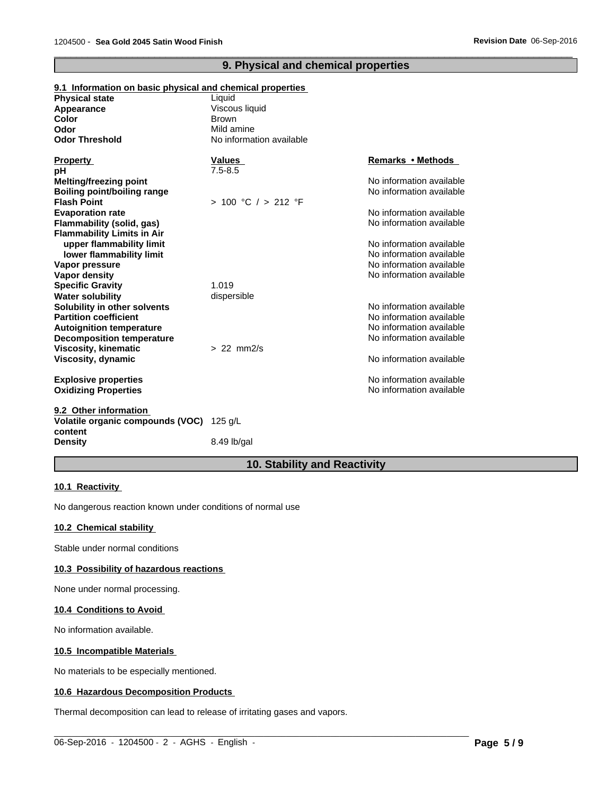# **9. Physical and chemical properties**

 $\overline{\phantom{a}}$  ,  $\overline{\phantom{a}}$  ,  $\overline{\phantom{a}}$  ,  $\overline{\phantom{a}}$  ,  $\overline{\phantom{a}}$  ,  $\overline{\phantom{a}}$  ,  $\overline{\phantom{a}}$  ,  $\overline{\phantom{a}}$  ,  $\overline{\phantom{a}}$  ,  $\overline{\phantom{a}}$  ,  $\overline{\phantom{a}}$  ,  $\overline{\phantom{a}}$  ,  $\overline{\phantom{a}}$  ,  $\overline{\phantom{a}}$  ,  $\overline{\phantom{a}}$  ,  $\overline{\phantom{a}}$ 

| o.i mnormation on pasio privologi and chemical properties |                          |                          |
|-----------------------------------------------------------|--------------------------|--------------------------|
| <b>Physical state</b>                                     | Liquid                   |                          |
| Appearance                                                | Viscous liquid           |                          |
| <b>Color</b>                                              | <b>Brown</b>             |                          |
| Odor                                                      | Mild amine               |                          |
| <b>Odor Threshold</b>                                     | No information available |                          |
| <b>Property</b>                                           | <b>Values</b>            | <b>Remarks • Methods</b> |
| рH                                                        | $7.5 - 8.5$              |                          |
| <b>Melting/freezing point</b>                             |                          | No information available |
| Boiling point/boiling range                               |                          | No information available |
| <b>Flash Point</b>                                        | > 100 °C / > 212 °F      |                          |
| <b>Evaporation rate</b>                                   |                          | No information available |
| Flammability (solid, gas)                                 |                          | No information available |
| <b>Flammability Limits in Air</b>                         |                          |                          |
| upper flammability limit                                  |                          | No information available |
| lower flammability limit                                  |                          | No information available |
| Vapor pressure                                            |                          | No information available |
| <b>Vapor density</b>                                      |                          | No information available |
| <b>Specific Gravity</b>                                   | 1.019                    |                          |
| <b>Water solubility</b>                                   | dispersible              |                          |
| Solubility in other solvents                              |                          | No information available |
| <b>Partition coefficient</b>                              |                          | No information available |
| <b>Autoignition temperature</b>                           |                          | No information available |
| <b>Decomposition temperature</b>                          |                          | No information available |
| <b>Viscosity, kinematic</b>                               | $> 22$ mm $2/s$          |                          |
| Viscosity, dynamic                                        |                          | No information available |
| <b>Explosive properties</b>                               |                          | No information available |
| <b>Oxidizing Properties</b>                               |                          | No information available |
| 9.2 Other information                                     |                          |                          |
| Volatile organic compounds (VOC)<br>content               | 125 g/L                  |                          |

# **9.1 Information on basic physical and chemical properties**

**Density** 8.49 lb/gal

# **10. Stability and Reactivity**

 $\_$  ,  $\_$  ,  $\_$  ,  $\_$  ,  $\_$  ,  $\_$  ,  $\_$  ,  $\_$  ,  $\_$  ,  $\_$  ,  $\_$  ,  $\_$  ,  $\_$  ,  $\_$  ,  $\_$  ,  $\_$  ,  $\_$  ,  $\_$  ,  $\_$  ,  $\_$  ,  $\_$  ,  $\_$  ,  $\_$  ,  $\_$  ,  $\_$  ,  $\_$  ,  $\_$  ,  $\_$  ,  $\_$  ,  $\_$  ,  $\_$  ,  $\_$  ,  $\_$  ,  $\_$  ,  $\_$  ,  $\_$  ,  $\_$  ,

# **10.1 Reactivity**

No dangerous reaction known under conditions of normal use

# **10.2 Chemical stability**

Stable under normal conditions

# **10.3 Possibility of hazardous reactions**

None under normal processing.

#### **10.4 Conditions to Avoid**

No information available.

# **10.5 Incompatible Materials**

No materials to be especially mentioned.

# **10.6 Hazardous Decomposition Products**

Thermal decomposition can lead to release of irritating gases and vapors.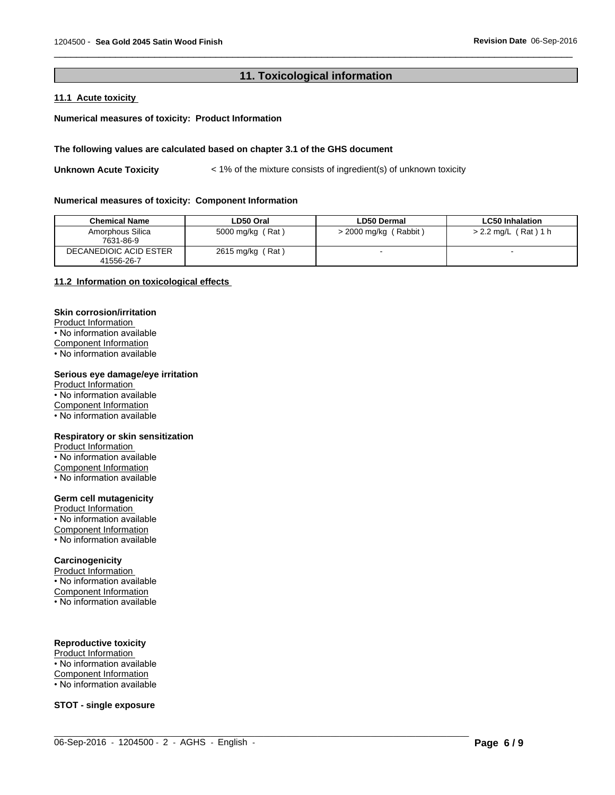# **11. Toxicological information**

 $\overline{\phantom{a}}$  ,  $\overline{\phantom{a}}$  ,  $\overline{\phantom{a}}$  ,  $\overline{\phantom{a}}$  ,  $\overline{\phantom{a}}$  ,  $\overline{\phantom{a}}$  ,  $\overline{\phantom{a}}$  ,  $\overline{\phantom{a}}$  ,  $\overline{\phantom{a}}$  ,  $\overline{\phantom{a}}$  ,  $\overline{\phantom{a}}$  ,  $\overline{\phantom{a}}$  ,  $\overline{\phantom{a}}$  ,  $\overline{\phantom{a}}$  ,  $\overline{\phantom{a}}$  ,  $\overline{\phantom{a}}$ 

# **11.1 Acute toxicity**

# **Numerical measures of toxicity: Product Information**

# **The following values are calculated based on chapter 3.1 of the GHS document**

**Unknown Acute Toxicity**  $\langle 1\%$  of the mixture consists of ingredient(s) of unknown toxicity

#### **Numerical measures of toxicity: Component Information**

| <b>Chemical Name</b>                 | LD50 Oral        | ∟D50 Dermal             | <b>LC50 Inhalation</b> |
|--------------------------------------|------------------|-------------------------|------------------------|
| Amorphous Silica<br>7631-86-9        | 5000 mg/kg (Rat) | $>$ 2000 mg/kg (Rabbit) | > 2.2 mg/L (Rat) 1 h   |
| DECANEDIOIC ACID ESTER<br>41556-26-7 | 2615 mg/kg (Rat) |                         |                        |

 $\_$  ,  $\_$  ,  $\_$  ,  $\_$  ,  $\_$  ,  $\_$  ,  $\_$  ,  $\_$  ,  $\_$  ,  $\_$  ,  $\_$  ,  $\_$  ,  $\_$  ,  $\_$  ,  $\_$  ,  $\_$  ,  $\_$  ,  $\_$  ,  $\_$  ,  $\_$  ,  $\_$  ,  $\_$  ,  $\_$  ,  $\_$  ,  $\_$  ,  $\_$  ,  $\_$  ,  $\_$  ,  $\_$  ,  $\_$  ,  $\_$  ,  $\_$  ,  $\_$  ,  $\_$  ,  $\_$  ,  $\_$  ,  $\_$  ,

# **11.2 Information on toxicological effects**

#### **Skin corrosion/irritation**

Product Information • No information available Component Information • No information available

# **Serious eye damage/eye irritation**

Product Information • No information available Component Information • No information available

#### **Respiratory or skin sensitization**

Product Information • No information available Component Information • No information available

# **Germ cell mutagenicity**

Product Information • No information available Component Information • No information available

#### **Carcinogenicity**

Product Information • No information available Component Information • No information available

# **Reproductive toxicity**

Product Information • No information available Component Information • No information available

**STOT - single exposure**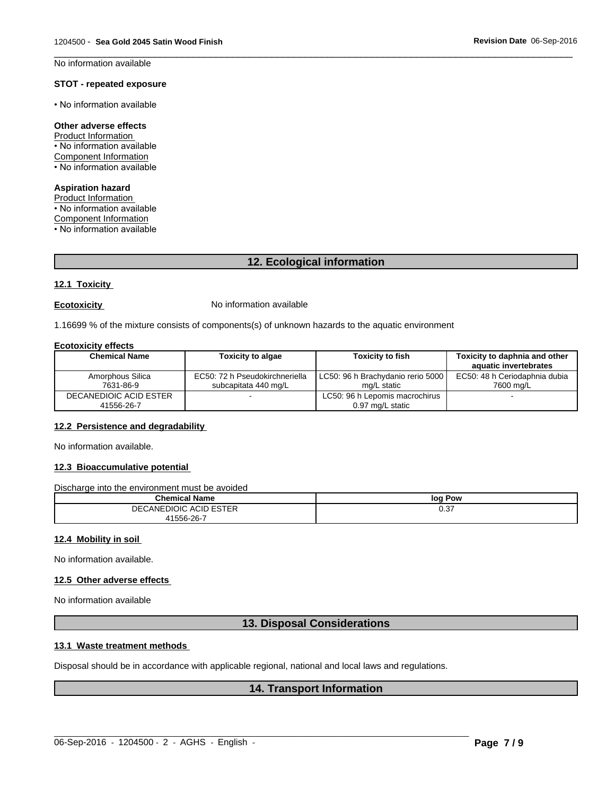$\overline{\phantom{a}}$  ,  $\overline{\phantom{a}}$  ,  $\overline{\phantom{a}}$  ,  $\overline{\phantom{a}}$  ,  $\overline{\phantom{a}}$  ,  $\overline{\phantom{a}}$  ,  $\overline{\phantom{a}}$  ,  $\overline{\phantom{a}}$  ,  $\overline{\phantom{a}}$  ,  $\overline{\phantom{a}}$  ,  $\overline{\phantom{a}}$  ,  $\overline{\phantom{a}}$  ,  $\overline{\phantom{a}}$  ,  $\overline{\phantom{a}}$  ,  $\overline{\phantom{a}}$  ,  $\overline{\phantom{a}}$ No information available

# **STOT - repeated exposure**

• No information available

# **Other adverse effects**

Product Information • No information available Component Information • No information available

# **Aspiration hazard**

Product Information

• No information available

Component Information

 $\cdot$  No information available

# **12. Ecological information**

# **12.1 Toxicity**

**Ecotoxicity No information available** 

1.16699 % of the mixture consists of components(s) of unknown hazards to the aquatic environment

## **Ecotoxicity effects**

| <b>Chemical Name</b>                 | <b>Toxicity to algae</b>                               | <b>Toxicity to fish</b>                            | Toxicity to daphnia and other<br>aquatic invertebrates |  |
|--------------------------------------|--------------------------------------------------------|----------------------------------------------------|--------------------------------------------------------|--|
| Amorphous Silica<br>7631-86-9        | EC50: 72 h Pseudokirchneriella<br>subcapitata 440 mg/L | LC50: 96 h Brachydanio rerio 5000 l<br>mg/L static | EC50: 48 h Ceriodaphnia dubia<br>7600 ma/L             |  |
| DECANEDIOIC ACID ESTER<br>41556-26-7 |                                                        | LC50: 96 h Lepomis macrochirus<br>0.97 mg/L static |                                                        |  |

# **12.2 Persistence and degradability**

No information available.

# **12.3 Bioaccumulative potential**

Discharge into the environment must be avoided

| <b>Chemical Name</b>        | Pow<br>log                          |
|-----------------------------|-------------------------------------|
| CANEDIOIC ACID ESTER<br>DE( | $\sim$ $\sim$ $\sim$<br><b>U.JI</b> |
| 41556-26-7<br>___           |                                     |

#### **12.4 Mobility in soil**

No information available.

# **12.5 Other adverse effects**

No information available

# **13. Disposal Considerations**

# **13.1 Waste treatment methods**

Disposal should be in accordance with applicable regional, national and local laws and regulations.

# **14. Transport Information**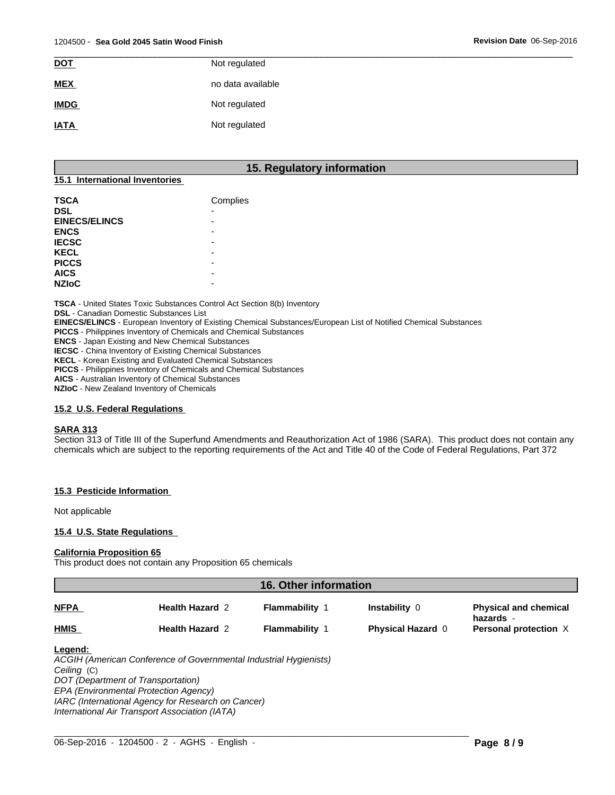| <b>DOT</b>  | Not regulated     |
|-------------|-------------------|
| <b>MEX</b>  | no data available |
| <b>IMDG</b> | Not regulated     |
| <b>IATA</b> | Not regulated     |

# **15. Regulatory information**

# **15.1 International Inventories**

| <b>TSCA</b>          | Complies                 |
|----------------------|--------------------------|
| <b>DSL</b>           | $\overline{\phantom{0}}$ |
| <b>EINECS/ELINCS</b> | -                        |
| <b>ENCS</b>          |                          |
| <b>IECSC</b>         | -                        |
| <b>KECL</b>          |                          |
| <b>PICCS</b>         | $\overline{\phantom{0}}$ |
| <b>AICS</b>          |                          |
| <b>NZIoC</b>         |                          |

**TSCA** - United States Toxic Substances Control Act Section 8(b) Inventory

**DSL** - Canadian Domestic Substances List

**EINECS/ELINCS** - European Inventory of Existing Chemical Substances/European List of Notified Chemical Substances

**PICCS** - Philippines Inventory of Chemicals and Chemical Substances

**ENCS** - Japan Existing and New Chemical Substances

**IECSC** - China Inventory of Existing Chemical Substances

**KECL** - Korean Existing and Evaluated Chemical Substances

**PICCS** - Philippines Inventory of Chemicals and Chemical Substances

**AICS** - Australian Inventory of Chemical Substances

**NZIoC** - New Zealand Inventory of Chemicals

# **15.2 U.S. Federal Regulations**

#### **SARA 313**

Section 313 of Title III of the Superfund Amendments and Reauthorization Act of 1986 (SARA). This product does not contain any chemicals which are subject to the reporting requirements of the Act and Title 40 of the Code of Federal Regulations, Part 372

#### **15.3 Pesticide Information**

Not applicable

#### **15.4 U.S. State Regulations**

#### **California Proposition 65**

This product does not contain any Proposition 65 chemicals

| <b>16. Other information</b> |                                                                                                         |                       |                          |                                           |
|------------------------------|---------------------------------------------------------------------------------------------------------|-----------------------|--------------------------|-------------------------------------------|
| <b>NFPA</b>                  | <b>Health Hazard 2</b>                                                                                  | <b>Flammability 1</b> | Instability 0            | <b>Physical and chemical</b><br>hazards - |
| <b>HMIS</b>                  | <b>Health Hazard 2</b>                                                                                  | <b>Flammability 1</b> | <b>Physical Hazard 0</b> | Personal protection X                     |
| Legend:<br>Ceiling (C)       | ACGIH (American Conference of Governmental Industrial Hygienists)<br>DOT (Department of Transportation) |                       |                          |                                           |

*DOT (Department of Transportation) EPA (Environmental Protection Agency)*

*IARC (International Agency for Research on Cancer)*

*International Air Transport Association (IATA)*